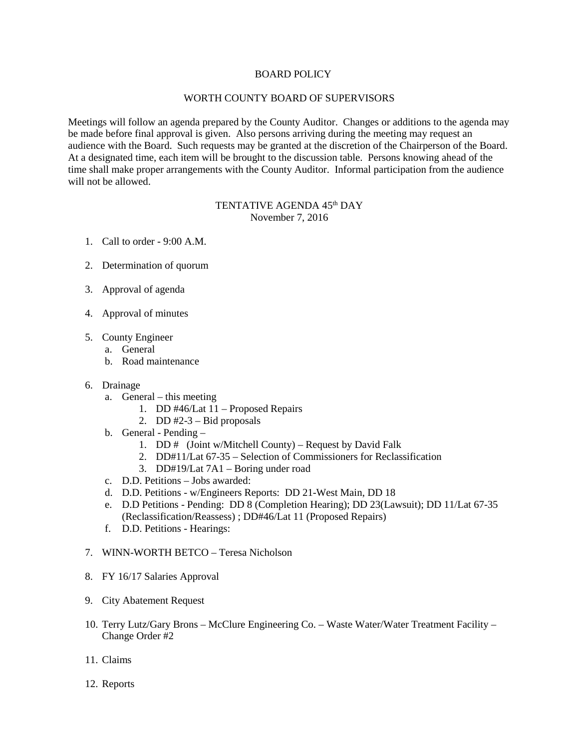## BOARD POLICY

## WORTH COUNTY BOARD OF SUPERVISORS

Meetings will follow an agenda prepared by the County Auditor. Changes or additions to the agenda may be made before final approval is given. Also persons arriving during the meeting may request an audience with the Board. Such requests may be granted at the discretion of the Chairperson of the Board. At a designated time, each item will be brought to the discussion table. Persons knowing ahead of the time shall make proper arrangements with the County Auditor. Informal participation from the audience will not be allowed.

## TENTATIVE AGENDA 45<sup>th</sup> DAY November 7, 2016

- 1. Call to order 9:00 A.M.
- 2. Determination of quorum
- 3. Approval of agenda
- 4. Approval of minutes
- 5. County Engineer
	- a. General
	- b. Road maintenance
- 6. Drainage
	- a. General this meeting
		- 1. DD #46/Lat 11 Proposed Repairs
		- 2. DD  $#2-3$  Bid proposals
	- b. General Pending
		- 1. DD # (Joint w/Mitchell County) Request by David Falk
		- 2. DD#11/Lat 67-35 Selection of Commissioners for Reclassification
		- 3. DD#19/Lat 7A1 Boring under road
	- c. D.D. Petitions Jobs awarded:
	- d. D.D. Petitions w/Engineers Reports: DD 21-West Main, DD 18
	- e. D.D Petitions Pending: DD 8 (Completion Hearing); DD 23(Lawsuit); DD 11/Lat 67-35 (Reclassification/Reassess) ; DD#46/Lat 11 (Proposed Repairs)
	- f. D.D. Petitions Hearings:
- 7. WINN-WORTH BETCO Teresa Nicholson
- 8. FY 16/17 Salaries Approval
- 9. City Abatement Request
- 10. Terry Lutz/Gary Brons McClure Engineering Co. Waste Water/Water Treatment Facility Change Order #2
- 11. Claims
- 12. Reports